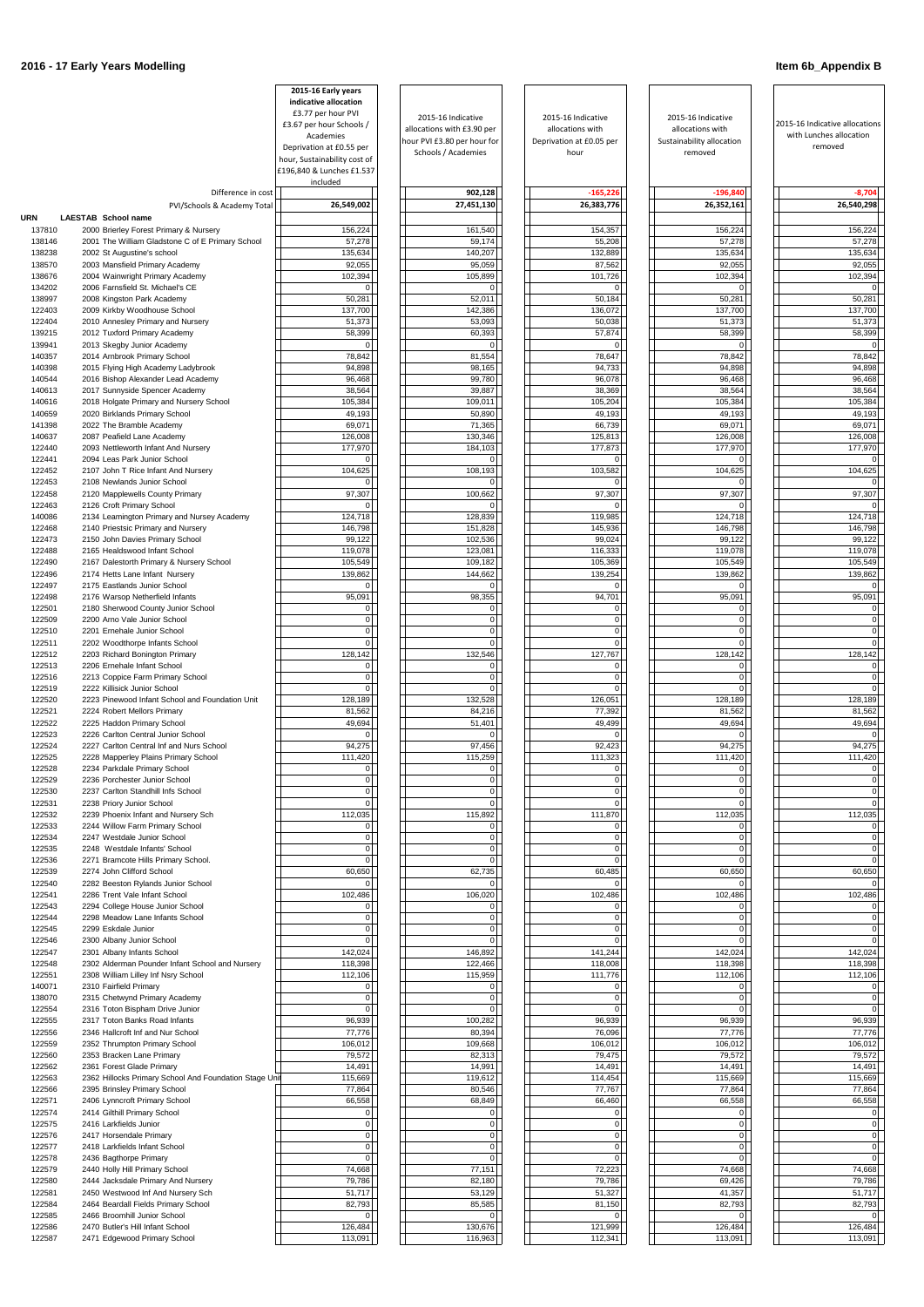|                  |                                                                                        | 2015-16 Early years<br>indicative allocation |                                                    |                                       |                                      |                                                           |
|------------------|----------------------------------------------------------------------------------------|----------------------------------------------|----------------------------------------------------|---------------------------------------|--------------------------------------|-----------------------------------------------------------|
|                  |                                                                                        | £3.77 per hour PVI                           | 2015-16 Indicative                                 | 2015-16 Indicative                    | 2015-16 Indicative                   |                                                           |
|                  |                                                                                        | £3.67 per hour Schools /<br>Academies        | allocations with £3.90 per                         | allocations with                      | allocations with                     | 2015-16 Indicative allocations<br>with Lunches allocation |
|                  |                                                                                        | Deprivation at £0.55 per                     | hour PVI £3.80 per hour for<br>Schools / Academies | Deprivation at £0.05 per<br>hour      | Sustainability allocation<br>removed | removed                                                   |
|                  |                                                                                        | hour, Sustainability cost of                 |                                                    |                                       |                                      |                                                           |
|                  |                                                                                        | £196,840 & Lunches £1.537<br>included        |                                                    |                                       |                                      |                                                           |
|                  | Difference in cost                                                                     |                                              | 902,128                                            | $-165,226$                            | $-196,840$                           | $-8,704$                                                  |
|                  | PVI/Schools & Academy Total                                                            | 26,549,002                                   | 27,451,130                                         | 26,383,776                            | 26,352,161                           | 26,540,298                                                |
| URN              | LAESTAB School name                                                                    |                                              |                                                    |                                       |                                      |                                                           |
| 137810           | 2000 Brierley Forest Primary & Nursery                                                 | 156,224                                      | 161,540                                            | 154,357                               | 156,224                              | 156,224                                                   |
| 138146<br>138238 | 2001 The William Gladstone C of E Primary School<br>2002 St Augustine's school         | 57,278<br>135,634                            | 59,174<br>140,207                                  | 55,208<br>132,889                     | 57,278<br>135,634                    | 57,278<br>135,634                                         |
| 138570           | 2003 Mansfield Primary Academy                                                         | 92,055                                       | 95,059                                             | 87,562                                | 92,055                               | 92,055                                                    |
| 138676           | 2004 Wainwright Primary Academy                                                        | 102,394                                      | 105,899                                            | 101,726                               | 102,394                              | 102,394                                                   |
| 134202           | 2006 Farnsfield St. Michael's CE                                                       | 0                                            |                                                    | $\Omega$                              | $\overline{0}$                       |                                                           |
| 138997           | 2008 Kingston Park Academy                                                             | 50,281                                       | 52,011                                             | 50,184                                | 50,281                               | 50,281                                                    |
| 122403<br>122404 | 2009 Kirkby Woodhouse School<br>2010 Annesley Primary and Nursery                      | 137,700<br>51,373                            | 142,386<br>53,093                                  | 136,072<br>50,038                     | 137,700<br>51,373                    | 137,700<br>51,373                                         |
| 139215           | 2012 Tuxford Primary Academy                                                           | 58,399                                       | 60,393                                             | 57,874                                | 58,399                               | 58,399                                                    |
| 139941           | 2013 Skegby Junior Academy                                                             | 01                                           | $\Omega$                                           | $\Omega$                              | $\Omega$                             | 0                                                         |
| 140357           | 2014 Arnbrook Primary School                                                           | 78,842                                       | 81,554                                             | 78,647                                | 78,842                               | 78,842                                                    |
| 140398<br>140544 | 2015 Flying High Academy Ladybrook<br>2016 Bishop Alexander Lead Academy               | 94,898<br>96,468                             | 98,165<br>99,780                                   | 94,733<br>96,078                      | 94,898<br>96,468                     | 94,898<br>96,468                                          |
| 140613           | 2017 Sunnyside Spencer Academy                                                         | 38,564                                       | 39,887                                             | 38,369                                | 38,564                               | 38,564                                                    |
| 140616           | 2018 Holgate Primary and Nursery School                                                | 105,384                                      | 109,011                                            | 105,204                               | 105,384                              | 105,384                                                   |
| 140659           | 2020 Birklands Primary School                                                          | 49,193                                       | 50,890                                             | 49,193                                | 49,193                               | 49,193                                                    |
| 141398           | 2022 The Bramble Academy                                                               | 69,071                                       | 71,365                                             | 66,739                                | 69,071                               | 69,071                                                    |
| 140637<br>122440 | 2087 Peafield Lane Academy<br>2093 Nettleworth Infant And Nursery                      | 126,008<br>177,970                           | 130,346<br>184,103                                 | 125,813<br>177,873                    | 126,008<br>177,970                   | 126,008<br>177,970                                        |
| 122441           | 2094 Leas Park Junior School                                                           | 01                                           | $\Omega$                                           | $\Omega$                              | $\Omega$                             |                                                           |
| 122452           | 2107 John T Rice Infant And Nursery                                                    | 104,625                                      | 108,193                                            | 103,582                               | 104,625                              | 104,625                                                   |
| 122453           | 2108 Newlands Junior School                                                            | 01                                           |                                                    | $\Omega$                              | 0                                    |                                                           |
| 122458           | 2120 Mapplewells County Primary                                                        | 97,307                                       | 100,662                                            | 97,307                                | 97,307                               | 97,307                                                    |
| 122463<br>140086 | 2126 Croft Primary School<br>2134 Leamington Primary and Nursey Academy                | 01<br>124,718                                | 128,839                                            | $\Omega$<br>119,985                   | $\Omega$<br>124,718                  | 124,718                                                   |
| 122468           | 2140 Priestsic Primary and Nursery                                                     | 146,798                                      | 151,828                                            | 145,936                               | 146,798                              | 146,798                                                   |
| 122473           | 2150 John Davies Primary School                                                        | 99,122                                       | 102,536                                            | 99,024                                | 99,122                               | 99,122                                                    |
| 122488           | 2165 Healdswood Infant School                                                          | 119,078                                      | 123,081                                            | 116,333                               | 119,078                              | 119,078                                                   |
| 122490           | 2167 Dalestorth Primary & Nursery School                                               | 105,549                                      | 109,182                                            | 105,369                               | 105,549                              | 105,549                                                   |
| 122496<br>122497 | 2174 Hetts Lane Infant Nursery<br>2175 Eastlands Junior School                         | 139,862<br>$\overline{0}$                    | 144,662<br>$\Omega$                                | 139,254<br>$\overline{0}$             | 139,862<br>$\overline{0}$            | 139,862<br>0                                              |
| 122498           | 2176 Warsop Netherfield Infants                                                        | 95,091                                       | 98,355                                             | 94,701                                | 95,091                               | 95,091                                                    |
| 122501           | 2180 Sherwood County Junior School                                                     | 0                                            | $\overline{0}$                                     | $\overline{0}$                        | $\overline{0}$                       | 0                                                         |
| 122509           | 2200 Arno Vale Junior School                                                           | $\overline{0}$                               | $\Omega$                                           | $\overline{0}$                        | $\overline{0}$                       | 0                                                         |
| 122510<br>122511 | 2201 Ernehale Junior School<br>2202 Woodthorpe Infants School                          | $\overline{0}$<br> 0                         | $\mathbf{0}$<br>$\Omega$                           | $\overline{0}$<br>$\overline{0}$      | $\overline{0}$<br>$\overline{0}$     | 0<br>$\Omega$                                             |
| 122512           | 2203 Richard Bonington Primary                                                         | 128,142                                      | 132,546                                            | 127,767                               | 128,142                              | 128,142                                                   |
| 122513           | 2206 Ernehale Infant School                                                            | 0                                            | $\Omega$                                           | $\overline{0}$                        | $\overline{0}$                       | 0                                                         |
| 122516           | 2213 Coppice Farm Primary School                                                       | 01                                           | $\Omega$                                           | 0                                     | 0                                    |                                                           |
| 122519           | 2222 Killisick Junior School                                                           | 0                                            |                                                    | $\Omega$                              | 0                                    |                                                           |
| 122520<br>122521 | 2223 Pinewood Infant School and Foundation Unit<br>2224 Robert Mellors Primary         | 128,189<br>81,562                            | 132,528<br>84,216                                  | 126,051<br>77,392                     | 128,189<br>81,562                    | 128,189<br>81,562                                         |
| 122522           | 2225 Haddon Primary School                                                             | 49,694                                       | 51,401                                             | 49,499                                | 49,694                               | 49,694                                                    |
| 122523           | 2226 Carlton Central Junior School                                                     | 0                                            |                                                    | $\Omega$                              | 0                                    |                                                           |
| 122524           | 2227 Carlton Central Inf and Nurs School                                               | 94,275                                       | 97,456                                             | 92,423                                | 94,275                               | 94,275                                                    |
| 122525<br>122528 | 2228 Mapperley Plains Primary School<br>2234 Parkdale Primary School                   | 111,420<br>0                                 | 115,259<br>$\overline{0}$                          | 111,323<br>$\mathbf 0$                | 111,420<br>$\overline{0}$            | 111,420                                                   |
| 122529           | 2236 Porchester Junior School                                                          | $\overline{0}$                               | $\overline{0}$                                     | $\overline{0}$                        | $\overline{0}$                       | 0                                                         |
| 122530           | 2237 Carlton Standhill Infs School                                                     | 01                                           | $\Omega$                                           | $\mathbf 0$                           | $\overline{0}$                       | 0                                                         |
| 122531           | 2238 Priory Junior School                                                              | $\overline{0}$                               | $\overline{0}$                                     | $\mathbf 0$                           | $\overline{0}$                       | 0                                                         |
| 122532<br>122533 | 2239 Phoenix Infant and Nursery Sch                                                    | 112,035                                      | 115,892<br>$\overline{0}$                          | 111,870<br>$\overline{0}$             | 112,035                              | 112,035                                                   |
| 122534           | 2244 Willow Farm Primary School<br>2247 Westdale Junior School                         | $\overline{0}$<br>$\overline{0}$             | $\Omega$                                           | 0                                     | $\overline{0}$<br>$\overline{0}$     | 0 <br>0                                                   |
| 122535           | 2248 Westdale Infants' School                                                          | $\overline{0}$                               | $\Omega$                                           | $\overline{0}$                        | $\overline{0}$                       | $\Omega$                                                  |
| 122536           | 2271 Bramcote Hills Primary School.                                                    | 0l                                           |                                                    | $\Omega$                              | $\overline{0}$                       | $\Omega$                                                  |
| 122539           | 2274 John Clifford School                                                              | 60,650                                       | 62,735                                             | 60,485                                | 60,650                               | 60,650                                                    |
| 122540<br>122541 | 2282 Beeston Rylands Junior School<br>2286 Trent Vale Infant School                    | 0<br>102,486                                 | 106,020                                            | $\Omega$<br>102,486                   | 0<br>102,486                         | 102,486                                                   |
| 122543           | 2294 College House Junior School                                                       | $\overline{0}$                               | $\overline{0}$                                     | $\overline{0}$                        | $\overline{0}$                       | 0                                                         |
| 122544           | 2298 Meadow Lane Infants School                                                        | $\overline{0}$                               | $\Omega$                                           | $\overline{0}$                        | $\Omega$                             | 0                                                         |
| 122545           | 2299 Eskdale Junior                                                                    | 0                                            | $\Omega$                                           | $\overline{0}$                        | 0                                    | 0                                                         |
| 122546           | 2300 Albany Junior School                                                              | $\overline{0}$                               | $\Omega$                                           | $\Omega$                              | $\overline{0}$                       |                                                           |
| 122547<br>122548 | 2301 Albany Infants School<br>2302 Alderman Pounder Infant School and Nursery          | 142,024<br>118,398                           | 146,892<br>122,466                                 | 141,244<br>118,008                    | 142,024<br>118,398                   | 142,024<br>118,398                                        |
| 122551           | 2308 William Lilley Inf Nsry School                                                    | 112,106                                      | 115,959                                            | 111,776                               | 112,106                              | 112,106                                                   |
| 140071           | 2310 Fairfield Primary                                                                 | 01                                           | $\Omega$                                           | $\Omega$                              | 0                                    |                                                           |
| 138070           | 2315 Chetwynd Primary Academy                                                          | 0                                            | $\Omega$                                           | $\Omega$                              | 0                                    |                                                           |
| 122554           | 2316 Toton Bispham Drive Junior<br>2317 Toton Banks Road Infants                       | 0                                            |                                                    | $\Omega$                              | $\overline{0}$                       |                                                           |
| 122555<br>122556 | 2346 Hallcroft Inf and Nur School                                                      | 96,939<br>77,776                             | 100,282<br>80,394                                  | 96,939<br>76,096                      | 96,939<br>77,776                     | 96,939<br>77,776                                          |
| 122559           | 2352 Thrumpton Primary School                                                          | 106,012                                      | 109,668                                            | 106,012                               | 106,012                              | 106,012                                                   |
| 122560           | 2353 Bracken Lane Primary                                                              | 79,572                                       | 82,313                                             | 79,475                                | 79,572                               | 79,572                                                    |
| 122562           | 2361 Forest Glade Primary                                                              | 14,491                                       | 14,991                                             | 14,491                                | 14,491                               | 14,491                                                    |
| 122563<br>122566 | 2362 Hillocks Primary School And Foundation Stage Unit<br>2395 Brinsley Primary School | 115,669<br>77,864                            | 119,612<br>80,546                                  | 114,454<br>77,767                     | 115,669<br>77,864                    | 115,669<br>77,864                                         |
| 122571           | 2406 Lynncroft Primary School                                                          | 66,558                                       | 68,849                                             | 66,460                                | 66,558                               | 66,558                                                    |
| 122574           | 2414 Gilthill Primary School                                                           | 0                                            | 0                                                  | $\overline{0}$                        | 0                                    | 0                                                         |
| 122575           | 2416 Larkfields Junior                                                                 | 0                                            | $\overline{0}$                                     | $\overline{0}$                        | $\overline{0}$                       | $\overline{0}$                                            |
| 122576           | 2417 Horsendale Primary                                                                | $\mathsf{O}$                                 | $\mathbf{O}$                                       | $\overline{0}$                        | 0                                    | $\mathbf{O}$                                              |
| 122577<br>122578 | 2418 Larkfields Infant School<br>2436 Bagthorpe Primary                                | $\mathbf{0}$<br>$\overline{0}$               | $\overline{0}$<br>$\Omega$                         | $\mathsf{O}\xspace$<br>$\overline{0}$ | $\overline{0}$<br>$\overline{0}$     | $\overline{0}$<br> 0                                      |
| 122579           | 2440 Holly Hill Primary School                                                         | 74,668                                       | 77,151                                             | 72,223                                | 74,668                               | 74,668                                                    |
| 122580           | 2444 Jacksdale Primary And Nursery                                                     | 79,786                                       | 82,180                                             | 79,786                                | 69,426                               | 79,786                                                    |
| 122581           | 2450 Westwood Inf And Nursery Sch                                                      | 51,717                                       | 53,129                                             | 51,327                                | 41,357                               | 51,717                                                    |
| 122584<br>122585 | 2464 Beardall Fields Primary School<br>2466 Broomhill Junior School                    | 82,793<br>$\overline{0}$                     | 85,585<br>$\overline{0}$                           | 81,150<br>$\overline{0}$              | 82,793<br>$\overline{0}$             | 82,793                                                    |
| 122586           | 2470 Butler's Hill Infant School                                                       | 126,484                                      | 130,676                                            | 121,999                               | 126,484                              | 126,484                                                   |
| 122587           | 2471 Edgewood Primary School                                                           | 113,091                                      | 116,963                                            | 112,341                               | 113,091                              | 113,091                                                   |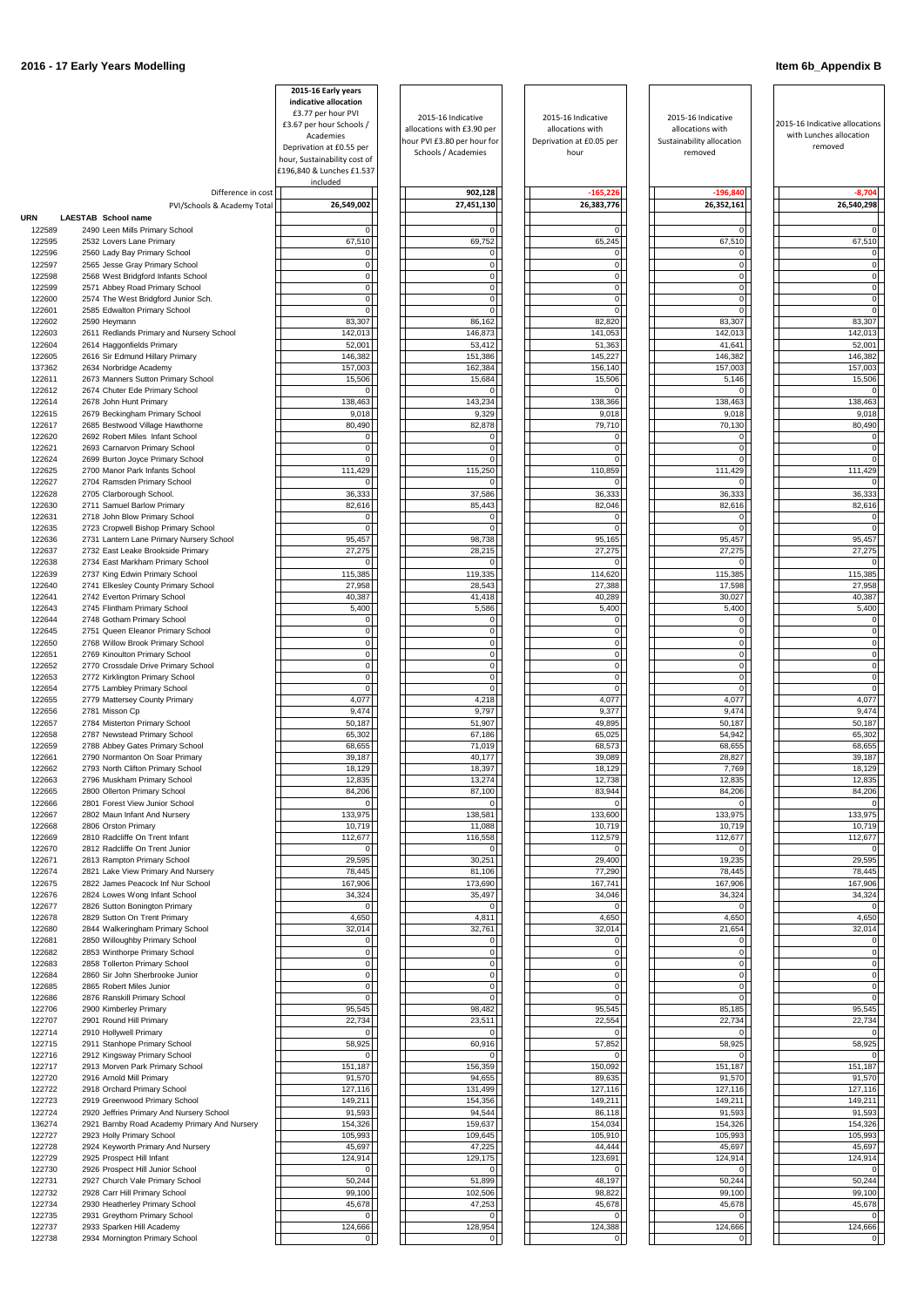|            |                                              | 2015-16 Early years                                       |                             |                          |                           |                                    |
|------------|----------------------------------------------|-----------------------------------------------------------|-----------------------------|--------------------------|---------------------------|------------------------------------|
|            |                                              | indicative allocation                                     |                             |                          |                           |                                    |
|            |                                              | £3.77 per hour PVI                                        | 2015-16 Indicative          | 2015-16 Indicative       | 2015-16 Indicative        |                                    |
|            |                                              | £3.67 per hour Schools /                                  | allocations with £3.90 per  | allocations with         | allocations with          | 2015-16 Indicative allocations     |
|            |                                              | Academies                                                 | hour PVI £3.80 per hour for | Deprivation at £0.05 per | Sustainability allocation | with Lunches allocation<br>removed |
|            |                                              | Deprivation at £0.55 per                                  | Schools / Academies         | hour                     | removed                   |                                    |
|            |                                              | hour, Sustainability cost of<br>£196,840 & Lunches £1.537 |                             |                          |                           |                                    |
|            | Difference in cost                           | included                                                  | 902,128                     | $-165,226$               | $-196,840$                | $-8,704$                           |
|            | PVI/Schools & Academy Total                  | 26,549,002                                                | 27,451,130                  | 26,383,776               | 26,352,161                | 26,540,298                         |
| <b>URN</b> | LAESTAB School name                          |                                                           |                             |                          |                           |                                    |
| 122589     | 2490 Leen Mills Primary School               | $\overline{0}$                                            | U                           | $\overline{0}$           | $\Omega$                  |                                    |
| 122595     | 2532 Lovers Lane Primary                     | 67,510                                                    | 69,752                      | 65,245                   | 67,510                    | 67,510                             |
| 122596     | 2560 Lady Bay Primary School                 | $\overline{0}$                                            | $\overline{0}$              | $\overline{0}$           | $\Omega$                  |                                    |
| 122597     | 2565 Jesse Gray Primary School               | $\overline{0}$                                            | $\overline{0}$              | $\overline{0}$           | $\overline{0}$            |                                    |
| 122598     | 2568 West Bridgford Infants School           | $\overline{0}$                                            | $\overline{0}$              | $\overline{0}$           | $\mathbf 0$               | $\overline{0}$                     |
| 122599     | 2571 Abbey Road Primary School               | 0                                                         | $\overline{0}$              | $\overline{0}$           | $\overline{0}$            | $\overline{0}$                     |
| 122600     | 2574 The West Bridgford Junior Sch.          | $\overline{0}$                                            | $\overline{0}$              | $\mathbf 0$              | $\overline{0}$            | $\overline{0}$                     |
| 122601     | 2585 Edwalton Primary School                 | $\Omega$                                                  | $\Omega$                    | $\overline{0}$           | $\Omega$                  |                                    |
| 122602     | 2590 Heymann                                 | 83,307                                                    | 86,162                      | 82,820                   | 83,307                    | 83,307                             |
| 122603     | 2611 Redlands Primary and Nursery School     | 142,013                                                   | 146,873                     | 141,053                  | 142,013                   | 142,013                            |
| 122604     | 2614 Haggonfields Primary                    | 52,001                                                    | 53,412                      | 51,363                   | 41,641                    | 52,001                             |
| 122605     | 2616 Sir Edmund Hillary Primary              | 146,382                                                   | 151,386                     | 145,227                  | 146,382                   | 146,382                            |
| 137362     | 2634 Norbridge Academy                       | 157,003                                                   | 162,384                     | 156,140                  | 157,003                   | 157,003                            |
| 122611     | 2673 Manners Sutton Primary School           | 15,506                                                    | 15,684                      | 15,506                   | 5,146                     | 15,506                             |
| 122612     | 2674 Chuter Ede Primary School               | $\overline{0}$                                            | $\Omega$                    | $\Omega$                 | $\Omega$                  |                                    |
| 122614     | 2678 John Hunt Primary                       | 138,463                                                   | 143,234                     | 138,366                  | 138,463                   | 138,463                            |
| 122615     | 2679 Beckingham Primary School               | 9,018                                                     | 9,329                       | 9,018                    | 9,018                     | 9,018                              |
| 122617     | 2685 Bestwood Village Hawthorne              | 80,490                                                    | 82,878                      | 79,710                   | 70,130                    | 80,490                             |
| 122620     | 2692 Robert Miles Infant School              | 0                                                         | $\Omega$                    | $\overline{0}$           | $\Omega$                  | $\Omega$                           |
| 122621     | 2693 Carnarvon Primary School                | 0                                                         | $\Omega$                    | $\overline{0}$           | $\overline{0}$            | $\Omega$                           |
| 122624     | 2699 Burton Joyce Primary School             | $\overline{0}$                                            | $\Omega$                    | $\mathbf{0}$             | $\Omega$                  |                                    |
| 122625     | 2700 Manor Park Infants School               | 111,429                                                   | 115,250                     | 110,859                  | 111,429                   | 111,429                            |
| 122627     | 2704 Ramsden Primary School                  | 0                                                         | $\Omega$                    | $\Omega$                 | $\Omega$                  |                                    |
| 122628     | 2705 Clarborough School.                     | 36,333                                                    | 37,586                      | 36,333                   | 36,333                    | 36,333                             |
| 122630     | 2711 Samuel Barlow Primary                   | 82,616                                                    | 85,443                      | 82,046                   | 82,616                    | 82,616                             |
| 122631     | 2718 John Blow Primary School                | 0                                                         | $\Omega$                    | $\overline{0}$           | $\Omega$                  |                                    |
| 122635     | 2723 Cropwell Bishop Primary School          | $\Omega$                                                  | $\Omega$                    | $\Omega$                 | $\Omega$                  |                                    |
| 122636     | 2731 Lantern Lane Primary Nursery School     | 95,457                                                    | 98,738                      | 95,165                   | 95,457                    | 95,457                             |
| 122637     | 2732 East Leake Brookside Primary            | 27,275                                                    | 28,215                      | 27,275                   | 27,275                    | 27,275                             |
| 122638     | 2734 East Markham Primary School             | $\overline{0}$                                            | $\overline{0}$              | $\overline{0}$           | $\Omega$                  | $\Omega$                           |
| 122639     | 2737 King Edwin Primary School               | 115.385                                                   | 119.335                     | 114.620                  | 115.385                   | 115.385                            |
| 122640     | 2741 Elkesley County Primary School          | 27,958                                                    | 28,543                      | 27,388                   | 17,598                    | 27,958                             |
| 122641     | 2742 Everton Primary School                  | 40,387                                                    | 41,418                      | 40,289                   | 30,027                    | 40,387                             |
| 122643     | 2745 Flintham Primary School                 | 5,400                                                     | 5,586                       | 5,400                    | 5,400                     | 5,400                              |
| 122644     | 2748 Gotham Primary School                   | $\overline{0}$                                            | $\Omega$                    | $\Omega$                 | $\Omega$                  |                                    |
| 122645     | 2751 Queen Eleanor Primary School            | $\overline{0}$                                            | $\overline{0}$              | $\overline{0}$           | $\Omega$                  |                                    |
| 122650     | 2768 Willow Brook Primary School             | 0                                                         | $\overline{0}$              | $\overline{0}$           | $\Omega$                  |                                    |
| 122651     | 2769 Kinoulton Primary School                | 0                                                         | $\overline{0}$              | $\overline{0}$           | $\overline{0}$            |                                    |
| 122652     | 2770 Crossdale Drive Primary School          | 0                                                         | $\overline{0}$              | $\overline{0}$           | $\overline{0}$            |                                    |
| 122653     | 2772 Kirklington Primary School              | 0                                                         | $\overline{0}$              | $\mathbf 0$              | $\mathbf{0}$              |                                    |
| 122654     | 2775 Lambley Primary School                  | $\overline{0}$                                            | $\Omega$                    | $\overline{0}$           | $\Omega$                  |                                    |
| 122655     | 2779 Mattersey County Primary                | 4,077                                                     | 4,218                       | 4,077                    | 4,077                     | 4,077                              |
| 122656     | 2781 Misson Cp                               | 9,474                                                     | 9,797                       | 9,377                    | 9,474                     | 9,474                              |
| 122657     | 2784 Misterton Primary School                | 50,187                                                    | 51,907                      | 49,895                   | 50,187                    | 50,187                             |
| 122658     | 2787 Newstead Primary School                 | 65,302                                                    | 67,186                      | 65,025                   | 54,942                    | 65,302                             |
| 122659     | 2788 Abbey Gates Primary School              | 68,655                                                    | 71,019                      | 68,573                   | 68,655                    | 68,655                             |
| 122661     | 2790 Normanton On Soar Primary               | 39,187                                                    | 40,177                      | 39,089                   | 28,827                    | 39,187                             |
| 122662     | 2793 North Clifton Primary School            | 18,129                                                    | 18,397                      | 18,129                   | 7,769                     | 18,129                             |
| 122663     | 2796 Muskham Primary School                  | 12,835                                                    | 13,274                      | 12,738                   | 12,835                    | 12,835                             |
| 122665     | 2800 Ollerton Primary School                 | 84,206                                                    | 87,100                      | 83,944                   | 84,206                    | 84,206                             |
| 122666     | 2801 Forest View Junior School               | $\overline{0}$                                            |                             |                          | $\Omega$                  |                                    |
| 122667     | 2802 Maun Infant And Nursery                 | 133,975                                                   | 138,581                     | 133,600                  | 133,975                   | 133,975                            |
| 122668     | 2806 Orston Primary                          | 10,719                                                    | 11,088                      | 10,719                   | 10,719                    | 10,719                             |
| 122669     | 2810 Radcliffe On Trent Infant               | 112,677                                                   | 116,558                     | 112,579                  | 112,677                   | 112,677                            |
| 122670     | 2812 Radcliffe On Trent Junior               | $\overline{0}$                                            |                             |                          | $\Omega$                  |                                    |
| 122671     | 2813 Rampton Primary School                  | 29,595                                                    | 30,251                      | 29,400                   | 19,235                    | 29,595                             |
| 122674     | 2821 Lake View Primary And Nursery           | 78,445                                                    | 81,106                      | 77,290                   | 78,445                    | 78,445                             |
| 122675     | 2822 James Peacock Inf Nur School            | 167,906                                                   | 173,690                     | 167,741                  | 167,906                   | 167,906                            |
| 122676     | 2824 Lowes Wong Infant School                | 34,324                                                    | 35,497                      | 34,046                   | 34,324                    | 34,324                             |
| 122677     | 2826 Sutton Bonington Primary                | $\Omega$                                                  |                             | $\Omega$                 |                           |                                    |
| 122678     | 2829 Sutton On Trent Primary                 | 4,650                                                     | 4,811                       | 4,650                    | 4,650                     | 4,650                              |
| 122680     | 2844 Walkeringham Primary School             | 32,014                                                    | 32,761                      | 32,014                   | 21,654                    | 32,014                             |
| 122681     | 2850 Willoughby Primary School               | $\overline{0}$                                            | 0                           | 0                        | $\Omega$                  |                                    |
| 122682     | 2853 Winthorpe Primary School                | 0                                                         | $\overline{0}$              | $\overline{0}$           | $\mathbf 0$               |                                    |
| 122683     | 2858 Tollerton Primary School                | 0                                                         | $\overline{0}$              | $\overline{0}$           | $\overline{0}$            |                                    |
| 122684     | 2860 Sir John Sherbrooke Junior              | 0                                                         | $\overline{0}$              | 0                        | $\Omega$                  |                                    |
| 122685     | 2865 Robert Miles Junior                     | 0                                                         | $\Omega$                    | $\overline{0}$           | $\overline{0}$            |                                    |
| 122686     | 2876 Ranskill Primary School                 | $\overline{0}$                                            | $\Omega$                    | $\overline{0}$           | $\Omega$                  |                                    |
| 122706     | 2900 Kimberley Primary                       | 95,545                                                    | 98,482                      | 95,545                   | 85,185                    | 95,545                             |
| 122707     | 2901 Round Hill Primary                      | 22,734                                                    | 23,511                      | 22,554                   | 22,734                    | 22,734                             |
| 122714     | 2910 Hollywell Primary                       | $\overline{0}$                                            |                             |                          | $\Omega$                  |                                    |
| 122715     | 2911 Stanhope Primary School                 | 58,925                                                    | 60,916                      | 57,852                   | 58,925                    | 58,925                             |
| 122716     | 2912 Kingsway Primary School                 | 0                                                         | $\Omega$                    | 01                       | $\Omega$                  |                                    |
| 122717     | 2913 Morven Park Primary School              | 151,187                                                   | 156,359                     | 150,092                  | 151,187                   | 151,187                            |
| 122720     | 2916 Arnold Mill Primary                     | 91,570                                                    | 94,655                      | 89,635                   | 91,570                    | 91,570                             |
| 122722     | 2918 Orchard Primary School                  | 127,116                                                   | 131,499                     | 127,116                  | 127,116                   | 127,116                            |
| 122723     | 2919 Greenwood Primary School                | 149,211                                                   | 154,356                     | 149,211                  | 149,211                   | 149,211                            |
| 122724     | 2920 Jeffries Primary And Nursery School     | 91,593                                                    | 94,544                      | 86,118                   | 91,593                    | 91,593                             |
| 136274     | 2921 Barnby Road Academy Primary And Nursery | 154,326                                                   | 159,637                     | 154,034                  | 154,326                   | 154,326                            |
| 122727     | 2923 Holly Primary School                    | 105,993                                                   | 109,645                     | 105,910                  | 105,993                   | 105,993                            |
| 122728     | 2924 Keyworth Primary And Nursery            | 45,697                                                    | 47,225                      | 44,444                   | 45,697                    | 45,697                             |
| 122729     | 2925 Prospect Hill Infant                    | 124,914                                                   | 129,175                     | 123,691                  | 124,914                   | 124,914                            |
| 122730     | 2926 Prospect Hill Junior School             | $\overline{0}$                                            | $\overline{0}$              | $\overline{0}$           | $\Omega$                  |                                    |
| 122731     | 2927 Church Vale Primary School              | 50,244                                                    | 51,899                      | 48,197                   | 50,244                    | 50,244                             |
| 122732     | 2928 Carr Hill Primary School                | 99,100                                                    | 102,506                     | 98,822                   | 99,100                    | 99,100                             |
| 122734     | 2930 Heatherley Primary School               | 45,678                                                    | 47,253                      | 45,678                   | 45,678                    | 45,678                             |
| 122735     | 2931 Greythorn Primary School                | 0                                                         | $\overline{0}$              | $\overline{0}$           | $\Omega$                  |                                    |
| 122737     | 2933 Sparken Hill Academy                    | 124,666                                                   | 128,954                     | 124,388                  | 124,666                   | 124,666                            |
| 122738     | 2934 Mornington Primary School               | 0                                                         | $\Omega$                    | $\overline{0}$           | $\Omega$                  | $\overline{0}$                     |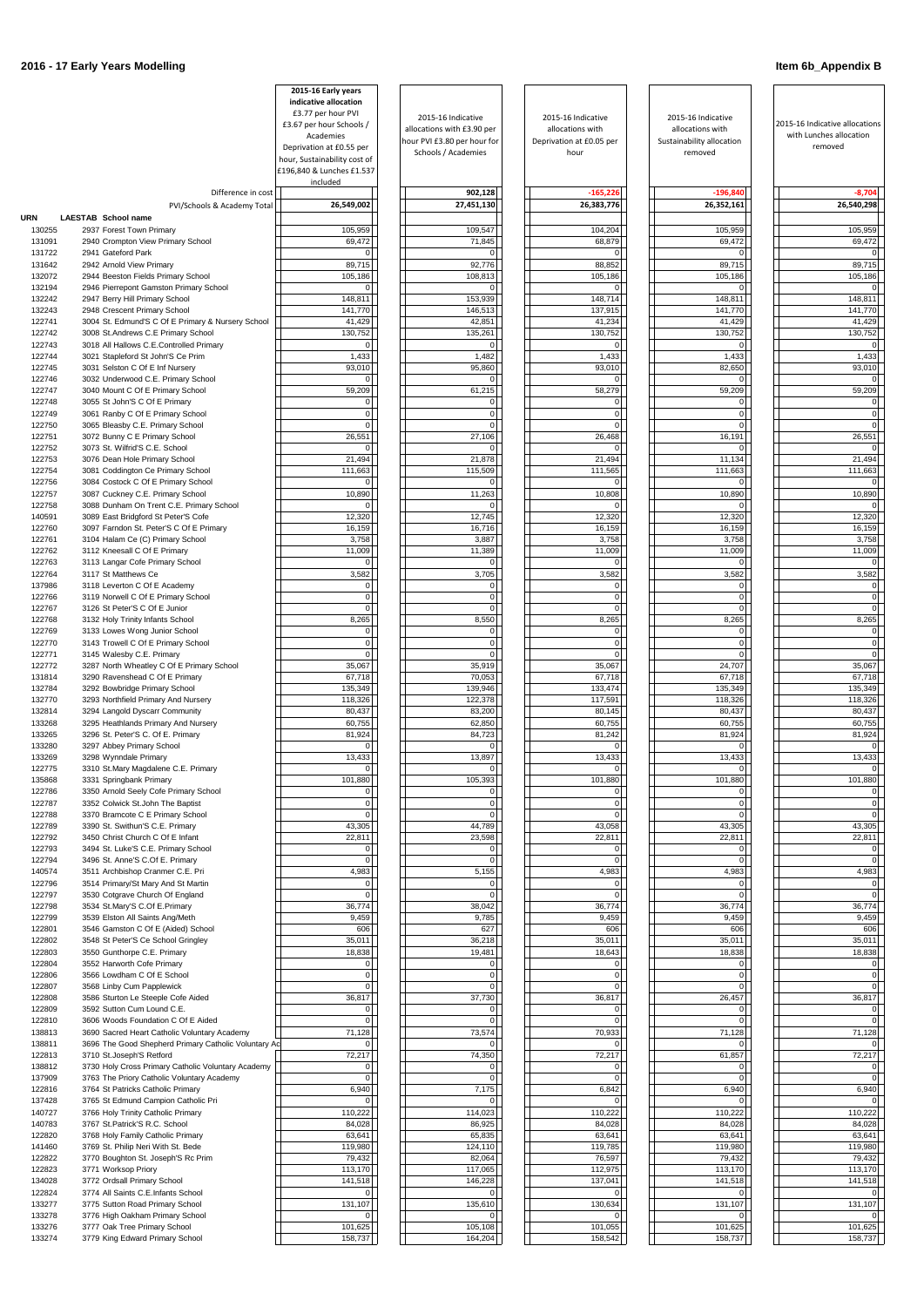|                  |                                                                                         | 2015-16 Early years<br>indicative allocation                |                                                    |                                        |                                        |                                                           |
|------------------|-----------------------------------------------------------------------------------------|-------------------------------------------------------------|----------------------------------------------------|----------------------------------------|----------------------------------------|-----------------------------------------------------------|
|                  |                                                                                         | £3.77 per hour PVI<br>£3.67 per hour Schools /<br>Academies | 2015-16 Indicative<br>allocations with £3.90 per   | 2015-16 Indicative<br>allocations with | 2015-16 Indicative<br>allocations with | 2015-16 Indicative allocations<br>with Lunches allocation |
|                  |                                                                                         | Deprivation at £0.55 per                                    | hour PVI £3.80 per hour for<br>Schools / Academies | Deprivation at £0.05 per<br>hour       | Sustainability allocation<br>removed   | removed                                                   |
|                  |                                                                                         | hour, Sustainability cost of<br>£196,840 & Lunches £1.537   |                                                    |                                        |                                        |                                                           |
|                  | Difference in cost                                                                      | included                                                    | 902,128                                            | $-165,226$                             | $-196,840$                             | $-8,704$                                                  |
| URN              | PVI/Schools & Academy Total<br><b>LAESTAB</b> School name                               | 26,549,002                                                  | 27,451,130                                         | 26,383,776                             | 26,352,161                             | 26,540,298                                                |
| 130255<br>131091 | 2937 Forest Town Primary<br>2940 Crompton View Primary School                           | 105,959<br>69,472                                           | 109,547<br>71,845                                  | 104,204<br>68,879                      | 105,959<br>69,472                      | 105,959<br>69,472                                         |
| 131722           | 2941 Gateford Park                                                                      | 0                                                           |                                                    |                                        | $\Omega$                               |                                                           |
| 131642<br>132072 | 2942 Arnold View Primary<br>2944 Beeston Fields Primary School                          | 89,715<br>105,186                                           | 92,776<br>108,813                                  | 88,852<br>105,186                      | 89,715<br>105,186                      | 89,715<br>105,186                                         |
| 132194           | 2946 Pierrepont Gamston Primary School                                                  | $\overline{0}$<br>148,811                                   | 153,939                                            | $\Omega$                               | $\Omega$                               |                                                           |
| 132242<br>132243 | 2947 Berry Hill Primary School<br>2948 Crescent Primary School                          | 141,770                                                     | 146,513                                            | 148,714<br>137,915                     | 148,811<br>141,770                     | 148,811<br>141,770                                        |
| 122741<br>122742 | 3004 St. Edmund'S C Of E Primary & Nursery School<br>3008 St.Andrews C.E Primary School | 41,429<br>130,752                                           | 42,851<br>135,261                                  | 41,234<br>130,752                      | 41,429<br>130,752                      | 41,429<br>130,752                                         |
| 122743           | 3018 All Hallows C.E.Controlled Primary                                                 | $\overline{0}$                                              | $\Omega$                                           |                                        | $\Omega$                               |                                                           |
| 122744<br>122745 | 3021 Stapleford St John'S Ce Prim<br>3031 Selston C Of E Inf Nursery                    | 1,433<br>93,010                                             | 1,482<br>95,860                                    | 1,433<br>93,010                        | 1,433<br>82,650                        | 1,433<br>93,010                                           |
| 122746<br>122747 | 3032 Underwood C.E. Primary School<br>3040 Mount C Of E Primary School                  | $\overline{0}$<br>59,209                                    | 61,215                                             | 58,279                                 | $\Omega$<br>59,209                     | 59,209                                                    |
| 122748           | 3055 St John'S C Of E Primary                                                           | 0                                                           |                                                    | $\Omega$                               | $\mathbf 0$                            |                                                           |
| 122749<br>122750 | 3061 Ranby C Of E Primary School<br>3065 Bleasby C.E. Primary School                    | 0 <br> 0                                                    | $\Omega$                                           | $\overline{0}$<br>$\Omega$             | $\overline{0}$<br>$\Omega$             |                                                           |
| 122751           | 3072 Bunny C E Primary School                                                           | 26,551                                                      | 27,106                                             | 26,468                                 | 16,191                                 | 26,551                                                    |
| 122752<br>122753 | 3073 St. Wilfrid'S C.E. School<br>3076 Dean Hole Primary School                         | $\Omega$<br>21,494                                          | 21,878                                             | 21,494                                 | $\Omega$<br>11,134                     | 21,494                                                    |
| 122754<br>122756 | 3081 Coddington Ce Primary School<br>3084 Costock C Of E Primary School                 | 111,663<br>0                                                | 115,509                                            | 111,565<br><sup>n</sup>                | 111,663<br>$\Omega$                    | 111,663                                                   |
| 122757           | 3087 Cuckney C.E. Primary School                                                        | 10,890                                                      | 11,263                                             | 10,808                                 | 10,890                                 | 10,890                                                    |
| 122758<br>140591 | 3088 Dunham On Trent C.E. Primary School<br>3089 East Bridgford St Peter'S Cofe         | 0<br>12,320                                                 | $\Omega$<br>12,745                                 | $\Omega$<br>12,320                     | $\Omega$<br>12,320                     | 12,320                                                    |
| 122760           | 3097 Farndon St. Peter'S C Of E Primary                                                 | 16,159                                                      | 16,716                                             | 16,159                                 | 16,159                                 | 16,159                                                    |
| 122761<br>122762 | 3104 Halam Ce (C) Primary School<br>3112 Kneesall C Of E Primary                        | 3,758<br>11,009                                             | 3,887<br>11,389                                    | 3,758<br>11,009                        | 3,758<br>11,009                        | 3,758<br>11,009                                           |
| 122763<br>122764 | 3113 Langar Cofe Primary School<br>3117 St Matthews Ce                                  | 0<br>3,582                                                  | 3,705                                              | 3,582                                  | $\Omega$<br>3,582                      | $\Omega$<br>3,582                                         |
| 137986           | 3118 Leverton C Of E Academy                                                            | 0                                                           | $\Omega$                                           | $\mathbf 0$                            | $\mathbf 0$                            | $\Omega$                                                  |
| 122766<br>122767 | 3119 Norwell C Of E Primary School<br>3126 St Peter'S C Of E Junior                     | $\overline{0}$<br>$\overline{0}$                            | $\Omega$<br>$\Omega$                               | $\mathbf{0}$<br>$\Omega$               | $\overline{0}$<br>$\Omega$             |                                                           |
| 122768           | 3132 Holy Trinity Infants School                                                        | 8,265                                                       | 8,550                                              | 8,265                                  | 8,265                                  | 8,265                                                     |
| 122769<br>122770 | 3133 Lowes Wong Junior School<br>3143 Trowell C Of E Primary School                     | 0 <br> 0                                                    | $\Omega$                                           | $\overline{0}$<br>$\Omega$             | $\overline{0}$<br>$\Omega$             |                                                           |
| 122771<br>122772 | 3145 Walesby C.E. Primary<br>3287 North Wheatley C Of E Primary School                  | $\overline{0}$<br>35,067                                    | 35,919                                             | $\Omega$<br>35,067                     | $\Omega$<br>24,707                     | 35,067                                                    |
| 131814           | 3290 Ravenshead C Of E Primary                                                          | 67,718                                                      | 70,053                                             | 67,718                                 | 67,718                                 | 67,718                                                    |
| 132784<br>132770 | 3292 Bowbridge Primary School<br>3293 Northfield Primary And Nursery                    | 135,349<br>118,326                                          | 139,946<br>122,378                                 | 133,474<br>117,591                     | 135,349<br>118,326                     | 135,349<br>118,326                                        |
| 132814           | 3294 Langold Dyscarr Community                                                          | 80,437                                                      | 83,200                                             | 80,145                                 | 80,437                                 | 80,437                                                    |
| 133268<br>133265 | 3295 Heathlands Primary And Nursery<br>3296 St. Peter'S C. Of E. Primary                | 60,755<br>81,924                                            | 62,850<br>84,723                                   | 60,755<br>81,242                       | 60,755<br>81,924                       | 60,755<br>81,924                                          |
| 133280<br>133269 | 3297 Abbey Primary School<br>3298 Wynndale Primary                                      | 0<br>13,433                                                 | 13,897                                             | 13,433                                 | $\Omega$<br>13,433                     | 13,433                                                    |
| 122775           | 3310 St.Mary Magdalene C.E. Primary                                                     | $\overline{0}$                                              |                                                    | $\Omega$                               | $\Omega$                               |                                                           |
| 135868<br>122786 | 3331 Springbank Primary<br>3350 Arnold Seely Cofe Primary School                        | 101,880<br>0                                                | 105,393<br>$\Omega$                                | 101,880<br>$\Omega$                    | 101,880<br>$\Omega$                    | 101,880                                                   |
| 122787           | 3352 Colwick St.John The Baptist                                                        | $\Omega$<br>$\overline{0}$                                  | $\Omega$<br>$\Omega$                               | 0<br>$\Omega$                          | $\Omega$<br>$\Omega$                   |                                                           |
| 122788<br>122789 | 3370 Bramcote C E Primary School<br>3390 St. Swithun'S C.E. Primary                     | 43,305                                                      | 44,789                                             | 43,058                                 | 43,305                                 | 43,305                                                    |
| 122792<br>122793 | 3450 Christ Church C Of E Infant<br>3494 St. Luke'S C.E. Primary School                 | 22,811<br>0                                                 | 23,598                                             | 22,811<br>$\Omega$                     | 22,811<br>0                            | 22,811                                                    |
| 122794           | 3496 St. Anne'S C.Of E. Primary                                                         | $\overline{0}$                                              |                                                    | $\Omega$                               | $\Omega$                               |                                                           |
| 140574<br>122796 | 3511 Archbishop Cranmer C.E. Pri<br>3514 Primary/St Mary And St Martin                  | 4,983<br>$\overline{0}$                                     | 5,155<br>$\Omega$                                  | 4,983<br>$\Omega$                      | 4,983<br>$\overline{0}$                | 4,983                                                     |
| 122797<br>122798 | 3530 Cotgrave Church Of England<br>3534 St.Mary'S C.Of E.Primary                        | $\overline{0}$<br>36,774                                    | 38,042                                             | $\Omega$<br>36,774                     | $\Omega$<br>36,774                     | 36,774                                                    |
| 122799           | 3539 Elston All Saints Ang/Meth                                                         | 9,459                                                       | 9,785                                              | 9,459                                  | 9,459                                  | 9,459                                                     |
| 122801<br>122802 | 3546 Gamston C Of E (Aided) School<br>3548 St Peter'S Ce School Gringley                | 606<br>35,011                                               | 627<br>36,218                                      | 606<br>35,011                          | 606<br>35,011                          | 606<br>35,011                                             |
| 122803           | 3550 Gunthorpe C.E. Primary                                                             | 18,838                                                      | 19,481                                             | 18,643                                 | 18,838                                 | 18,838                                                    |
| 122804<br>122806 | 3552 Harworth Cofe Primary<br>3566 Lowdham C Of E School                                | $\overline{0}$<br>$\overline{0}$                            | $\Omega$<br>ŋ                                      | $\Omega$<br>$\Omega$                   | $\overline{0}$<br>$\Omega$             |                                                           |
| 122807<br>122808 | 3568 Linby Cum Papplewick<br>3586 Sturton Le Steeple Cofe Aided                         | $\overline{0}$<br>36,817                                    | $\Omega$<br>37,730                                 | $\mathbf 0$<br>36,817                  | $\overline{0}$<br>26,457               | 36,817                                                    |
| 122809           | 3592 Sutton Cum Lound C.E.                                                              | 0                                                           | $\Omega$                                           | $\overline{0}$                         | $\overline{0}$                         |                                                           |
| 122810<br>138813 | 3606 Woods Foundation C Of E Aided<br>3690 Sacred Heart Catholic Voluntary Academy      | 0 <br>71,128                                                | 73,574                                             | $\mathbf 0$<br>70,933                  | $\Omega$<br>71,128                     | 71,128                                                    |
| 138811           | 3696 The Good Shepherd Primary Catholic Voluntary Ac                                    | $\Omega$                                                    |                                                    |                                        | $\Omega$                               |                                                           |
| 122813<br>138812 | 3710 St.Joseph'S Retford<br>3730 Holy Cross Primary Catholic Voluntary Academy          | 72,217<br>$\overline{0}$                                    | 74,350                                             | 72,217<br>$\Omega$                     | 61,857<br>$\Omega$                     | 72,217                                                    |
| 137909<br>122816 | 3763 The Priory Catholic Voluntary Academy<br>3764 St Patricks Catholic Primary         | 0 <br>6,940                                                 | 0 <br>7,175                                        | $\mathbf 0$<br>6,842                   | 0 <br>6,940                            | 0 <br>6,940                                               |
| 137428           | 3765 St Edmund Campion Catholic Pri                                                     | $\overline{0}$                                              |                                                    |                                        | $\Omega$                               |                                                           |
| 140727<br>140783 | 3766 Holy Trinity Catholic Primary<br>3767 St.Patrick'S R.C. School                     | 110,222<br>84,028                                           | 114,023<br>86,925                                  | 110,222<br>84,028                      | 110,222<br>84,028                      | 110,222<br>84,028                                         |
| 122820           | 3768 Holy Family Catholic Primary                                                       | 63,641                                                      | 65,835                                             | 63,641                                 | 63,641                                 | 63,641                                                    |
| 141460<br>122822 | 3769 St. Philip Neri With St. Bede<br>3770 Boughton St. Joseph'S Rc Prim                | 119,980<br>79,432                                           | 124,110<br>82,064                                  | 119,785<br>76,597                      | 119,980<br>79,432                      | 119,980<br>79,432                                         |
| 122823<br>134028 | 3771 Worksop Priory<br>3772 Ordsall Primary School                                      | 113,170<br>141,518                                          | 117,065<br>146,228                                 | 112,975<br>137,041                     | 113,170<br>141,518                     | 113,170<br>141,518                                        |
| 122824           | 3774 All Saints C.E.Infants School                                                      | 0                                                           |                                                    |                                        | $\overline{0}$                         |                                                           |
| 133277<br>133278 | 3775 Sutton Road Primary School<br>3776 High Oakham Primary School                      | 131,107<br>$\overline{0}$                                   | 135,610                                            | 130,634                                | 131,107<br>$\Omega$                    | 131,107                                                   |
| 133276<br>133274 | 3777 Oak Tree Primary School<br>3779 King Edward Primary School                         | 101,625<br>158,737                                          | 105,108<br>164,204                                 | 101,055<br>158,542                     | 101,625<br>158,737                     | 101,625<br>158,737                                        |